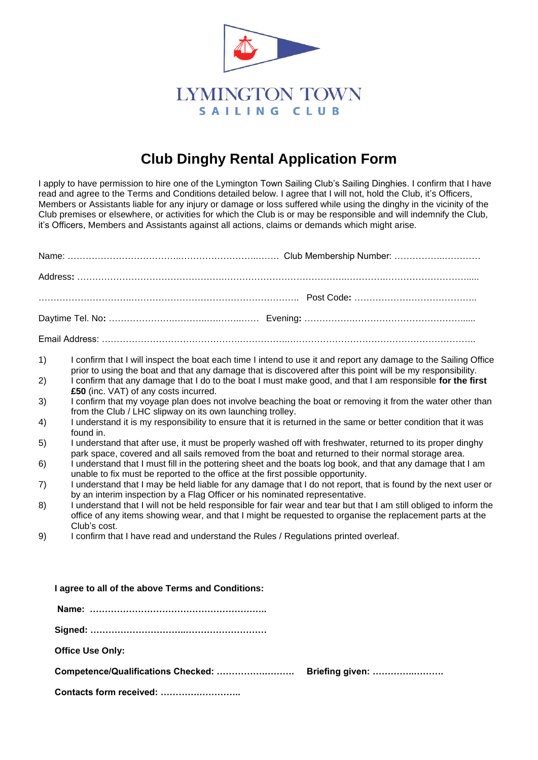

# **Club Dinghy Rental Application Form**

I apply to have permission to hire one of the Lymington Town Sailing Club's Sailing Dinghies. I confirm that I have read and agree to the Terms and Conditions detailed below. I agree that I will not, hold the Club, it's Officers, Members or Assistants liable for any injury or damage or loss suffered while using the dinghy in the vicinity of the Club premises or elsewhere, or activities for which the Club is or may be responsible and will indemnify the Club, it's Officers, Members and Assistants against all actions, claims or demands which might arise.

Name: ………………………………..……………………..……. Club Membership Number: ……………..…………

| 1)                      | I confirm that I will inspect the boat each time I intend to use it and report any damage to the Sailing Office                                                                                                                                                  |
|-------------------------|------------------------------------------------------------------------------------------------------------------------------------------------------------------------------------------------------------------------------------------------------------------|
| 2)                      | prior to using the boat and that any damage that is discovered after this point will be my responsibility.<br>I confirm that any damage that I do to the boat I must make good, and that I am responsible for the first<br>£50 (inc. VAT) of any costs incurred. |
| 3)                      | I confirm that my voyage plan does not involve beaching the boat or removing it from the water other than<br>from the Club / LHC slipway on its own launching trolley.                                                                                           |
| 4)                      | I understand it is my responsibility to ensure that it is returned in the same or better condition that it was<br>found in.                                                                                                                                      |
| 5)                      | I understand that after use, it must be properly washed off with freshwater, returned to its proper dinghy<br>park space, covered and all sails removed from the boat and returned to their normal storage area.                                                 |
| 6)                      | I understand that I must fill in the pottering sheet and the boats log book, and that any damage that I am<br>unable to fix must be reported to the office at the first possible opportunity.                                                                    |
| 7)                      | I understand that I may be held liable for any damage that I do not report, that is found by the next user or<br>by an interim inspection by a Flag Officer or his nominated representative.                                                                     |
| 8)                      | I understand that I will not be held responsible for fair wear and tear but that I am still obliged to inform the<br>office of any items showing wear, and that I might be requested to organise the replacement parts at the<br>Club's cost.                    |
| 9)                      | I confirm that I have read and understand the Rules / Regulations printed overleaf.                                                                                                                                                                              |
|                         |                                                                                                                                                                                                                                                                  |
|                         |                                                                                                                                                                                                                                                                  |
|                         | I agree to all of the above Terms and Conditions:                                                                                                                                                                                                                |
|                         |                                                                                                                                                                                                                                                                  |
|                         |                                                                                                                                                                                                                                                                  |
| <b>Office Use Only:</b> |                                                                                                                                                                                                                                                                  |
|                         | Competence/Qualifications Checked:<br>Briefing given:                                                                                                                                                                                                            |
|                         | Contacts form received:                                                                                                                                                                                                                                          |